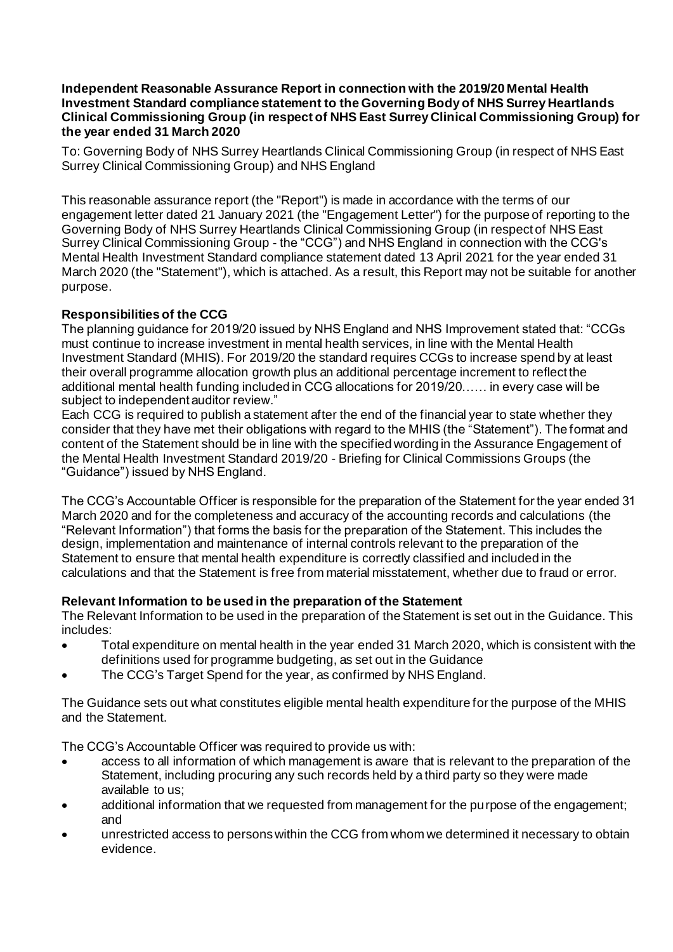#### **Independent Reasonable Assurance Report in connection with the 2019/20 Mental Health Investment Standard compliance statement to the Governing Body of NHS Surrey Heartlands Clinical Commissioning Group (in respect of NHS East Surrey Clinical Commissioning Group) for the year ended 31 March 2020**

To: Governing Body of NHS Surrey Heartlands Clinical Commissioning Group (in respect of NHS East Surrey Clinical Commissioning Group) and NHS England

This reasonable assurance report (the "Report") is made in accordance with the terms of our engagement letter dated 21 January 2021 (the "Engagement Letter") for the purpose of reporting to the Governing Body of NHS Surrey Heartlands Clinical Commissioning Group (in respect of NHS East Surrey Clinical Commissioning Group - the "CCG") and NHS England in connection with the CCG's Mental Health Investment Standard compliance statement dated 13 April 2021 for the year ended 31 March 2020 (the "Statement"), which is attached. As a result, this Report may not be suitable for another purpose.

# **Responsibilities of the CCG**

The planning guidance for 2019/20 issued by NHS England and NHS Improvement stated that: "CCGs must continue to increase investment in mental health services, in line with the Mental Health Investment Standard (MHIS). For 2019/20 the standard requires CCGs to increase spend by at least their overall programme allocation growth plus an additional percentage increment to reflect the additional mental health funding included in CCG allocations for 2019/20…… in every case will be subject to independent auditor review."

Each CCG is required to publish a statement after the end of the financial year to state whether they consider that they have met their obligations with regard to the MHIS (the "Statement"). The format and content of the Statement should be in line with the specified wording in the Assurance Engagement of the Mental Health Investment Standard 2019/20 - Briefing for Clinical Commissions Groups (the "Guidance") issued by NHS England.

The CCG's Accountable Officer is responsible for the preparation of the Statement for the year ended 31 March 2020 and for the completeness and accuracy of the accounting records and calculations (the "Relevant Information") that forms the basis for the preparation of the Statement. This includes the design, implementation and maintenance of internal controls relevant to the preparation of the Statement to ensure that mental health expenditure is correctly classified and included in the calculations and that the Statement is free from material misstatement, whether due to fraud or error.

#### **Relevant Information to be used in the preparation of the Statement**

The Relevant Information to be used in the preparation of the Statement is set out in the Guidance. This includes:

- Total expenditure on mental health in the year ended 31 March 2020, which is consistent with the definitions used for programme budgeting, as set out in the Guidance
- The CCG's Target Spend for the year, as confirmed by NHS England.

The Guidance sets out what constitutes eligible mental health expenditure for the purpose of the MHIS and the Statement.

The CCG's Accountable Officer was required to provide us with:

- access to all information of which management is aware that is relevant to the preparation of the Statement, including procuring any such records held by a third party so they were made available to us;
- additional information that we requested from management for the purpose of the engagement; and
- unrestricted access to persons within the CCG from whom we determined it necessary to obtain evidence.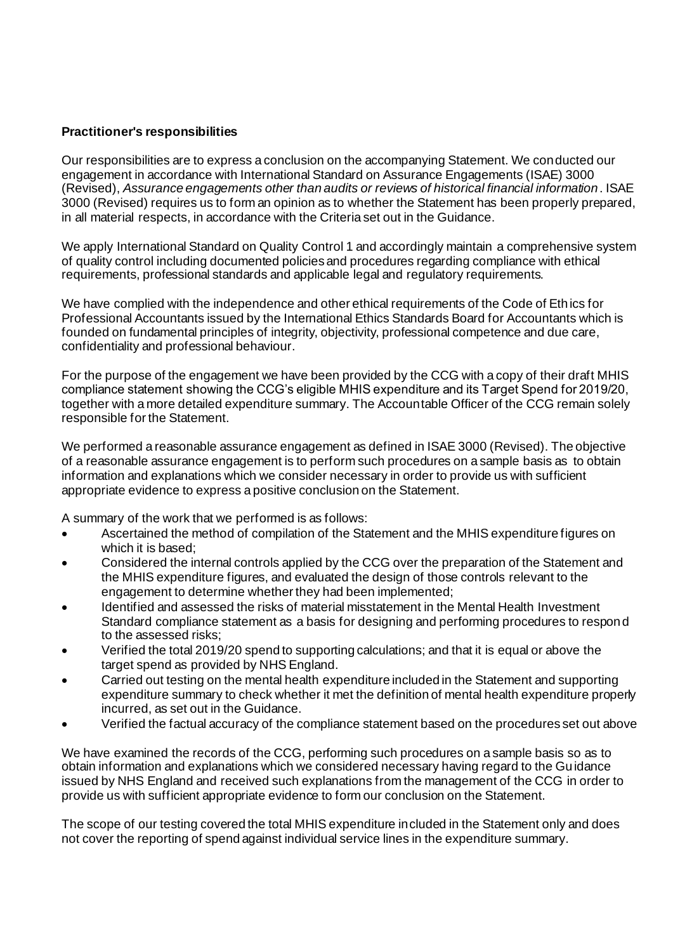## **Practitioner's responsibilities**

Our responsibilities are to express a conclusion on the accompanying Statement. We conducted our engagement in accordance with International Standard on Assurance Engagements (ISAE) 3000 (Revised), *Assurance engagements other than audits or reviews of historical financial information*. ISAE 3000 (Revised) requires us to form an opinion as to whether the Statement has been properly prepared, in all material respects, in accordance with the Criteria set out in the Guidance.

We apply International Standard on Quality Control 1 and accordingly maintain a comprehensive system of quality control including documented policies and procedures regarding compliance with ethical requirements, professional standards and applicable legal and regulatory requirements.

We have complied with the independence and other ethical requirements of the Code of Ethics for Professional Accountants issued by the International Ethics Standards Board for Accountants which is founded on fundamental principles of integrity, objectivity, professional competence and due care, confidentiality and professional behaviour.

For the purpose of the engagement we have been provided by the CCG with a copy of their draft MHIS compliance statement showing the CCG's eligible MHIS expenditure and its Target Spend for 2019/20, together with a more detailed expenditure summary. The Accountable Officer of the CCG remain solely responsible for the Statement.

We performed a reasonable assurance engagement as defined in ISAE 3000 (Revised). The objective of a reasonable assurance engagement is to perform such procedures on a sample basis as to obtain information and explanations which we consider necessary in order to provide us with sufficient appropriate evidence to express a positive conclusion on the Statement.

A summary of the work that we performed is as follows:

- Ascertained the method of compilation of the Statement and the MHIS expenditure figures on which it is based;
- Considered the internal controls applied by the CCG over the preparation of the Statement and the MHIS expenditure figures, and evaluated the design of those controls relevant to the engagement to determine whether they had been implemented;
- Identified and assessed the risks of material misstatement in the Mental Health Investment Standard compliance statement as a basis for designing and performing procedures to respond to the assessed risks;
- Verified the total 2019/20 spend to supporting calculations; and that it is equal or above the target spend as provided by NHS England.
- Carried out testing on the mental health expenditure included in the Statement and supporting expenditure summary to check whether it met the definition of mental health expenditure properly incurred, as set out in the Guidance.
- Verified the factual accuracy of the compliance statement based on the procedures set out above

We have examined the records of the CCG, performing such procedures on a sample basis so as to obtain information and explanations which we considered necessary having regard to the Guidance issued by NHS England and received such explanations from the management of the CCG in order to provide us with sufficient appropriate evidence to form our conclusion on the Statement.

The scope of our testing covered the total MHIS expenditure included in the Statement only and does not cover the reporting of spend against individual service lines in the expenditure summary.